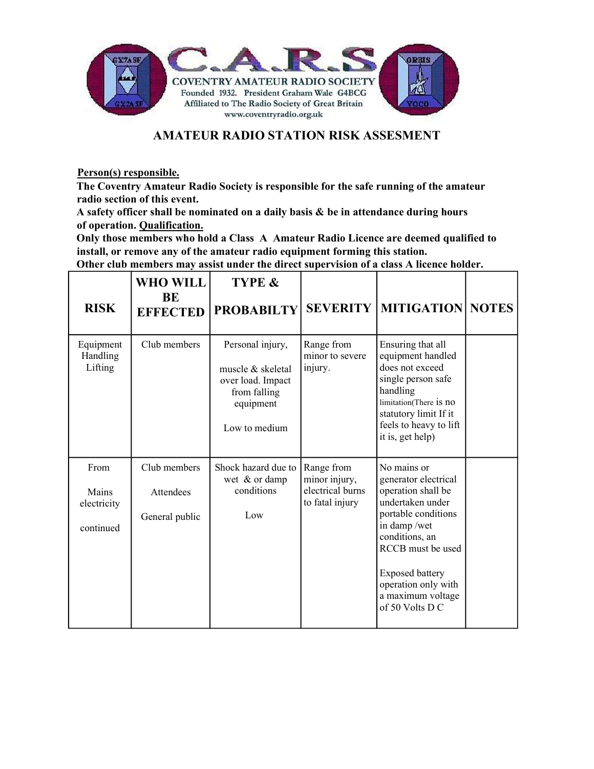

## AMATEUR RADIO STATION RISK ASSESMENT

Person(s) responsible.

The Coventry Amateur Radio Society is responsible for the safe running of the amateur radio section of this event.

A safety officer shall be nominated on a daily basis & be in attendance during hours of operation. Qualification.

Only those members who hold a Class A Amateur Radio Licence are deemed qualified to install, or remove any of the amateur radio equipment forming this station.

Other club members may assist under the direct supervision of a class A licence holder.

| <b>RISK</b>                               | <b>WHO WILL</b><br>BE<br><b>EFFECTED</b>    | TYPE &<br><b>PROBABILTY</b>                                                                              |                                                                    | <b>SEVERITY   MITIGATION   NOTES</b>                                                                                                                                                                                                                |  |
|-------------------------------------------|---------------------------------------------|----------------------------------------------------------------------------------------------------------|--------------------------------------------------------------------|-----------------------------------------------------------------------------------------------------------------------------------------------------------------------------------------------------------------------------------------------------|--|
| Equipment<br>Handling<br>Lifting          | Club members                                | Personal injury,<br>muscle & skeletal<br>over load. Impact<br>from falling<br>equipment<br>Low to medium | Range from<br>minor to severe<br>injury.                           | Ensuring that all<br>equipment handled<br>does not exceed<br>single person safe<br>handling<br>limitation(There is no<br>statutory limit If it<br>feels to heavy to lift<br>it is, get help)                                                        |  |
| From<br>Mains<br>electricity<br>continued | Club members<br>Attendees<br>General public | Shock hazard due to<br>wet & or damp<br>conditions<br>Low                                                | Range from<br>minor injury,<br>electrical burns<br>to fatal injury | No mains or<br>generator electrical<br>operation shall be<br>undertaken under<br>portable conditions<br>in damp/wet<br>conditions, an<br>RCCB must be used<br><b>Exposed battery</b><br>operation only with<br>a maximum voltage<br>of 50 Volts D C |  |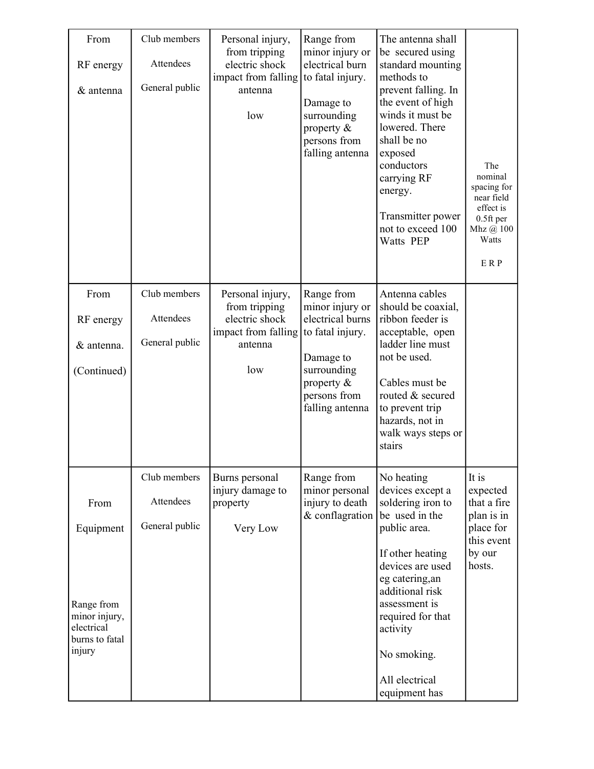| From<br>RF energy<br>& antenna                                                             | Club members<br>Attendees<br>General public | Personal injury,<br>from tripping<br>electric shock<br>impact from falling<br>antenna<br>low | Range from<br>minor injury or<br>electrical burn<br>to fatal injury.<br>Damage to<br>surrounding<br>property &<br>persons from<br>falling antenna     | The antenna shall<br>be secured using<br>standard mounting<br>methods to<br>prevent falling. In<br>the event of high<br>winds it must be<br>lowered. There<br>shall be no<br>exposed<br>conductors<br>carrying RF<br>energy.<br>Transmitter power<br>not to exceed 100<br>Watts PEP | The<br>nominal<br>spacing for<br>near field<br>effect is<br>$0.5$ ft per<br>Mhz @ 100<br>Watts<br>ERP |
|--------------------------------------------------------------------------------------------|---------------------------------------------|----------------------------------------------------------------------------------------------|-------------------------------------------------------------------------------------------------------------------------------------------------------|-------------------------------------------------------------------------------------------------------------------------------------------------------------------------------------------------------------------------------------------------------------------------------------|-------------------------------------------------------------------------------------------------------|
| From<br>RF energy<br>& antenna.<br>(Continued)                                             | Club members<br>Attendees<br>General public | Personal injury,<br>from tripping<br>electric shock<br>impact from falling<br>antenna<br>low | Range from<br>minor injury or<br>electrical burns<br>to fatal injury.<br>Damage to<br>surrounding<br>property $\&$<br>persons from<br>falling antenna | Antenna cables<br>should be coaxial,<br>ribbon feeder is<br>acceptable, open<br>ladder line must<br>not be used.<br>Cables must be<br>routed & secured<br>to prevent trip<br>hazards, not in<br>walk ways steps or<br>stairs                                                        |                                                                                                       |
| From<br>Equipment<br>Range from<br>minor injury,<br>electrical<br>burns to fatal<br>injury | Club members<br>Attendees<br>General public | Burns personal<br>injury damage to<br>property<br>Very Low                                   | Range from<br>minor personal<br>injury to death<br>& conflagration                                                                                    | No heating<br>devices except a<br>soldering iron to<br>be used in the<br>public area.<br>If other heating<br>devices are used<br>eg catering, an<br>additional risk<br>assessment is<br>required for that<br>activity<br>No smoking.<br>All electrical<br>equipment has             | It is<br>expected<br>that a fire<br>plan is in<br>place for<br>this event<br>by our<br>hosts.         |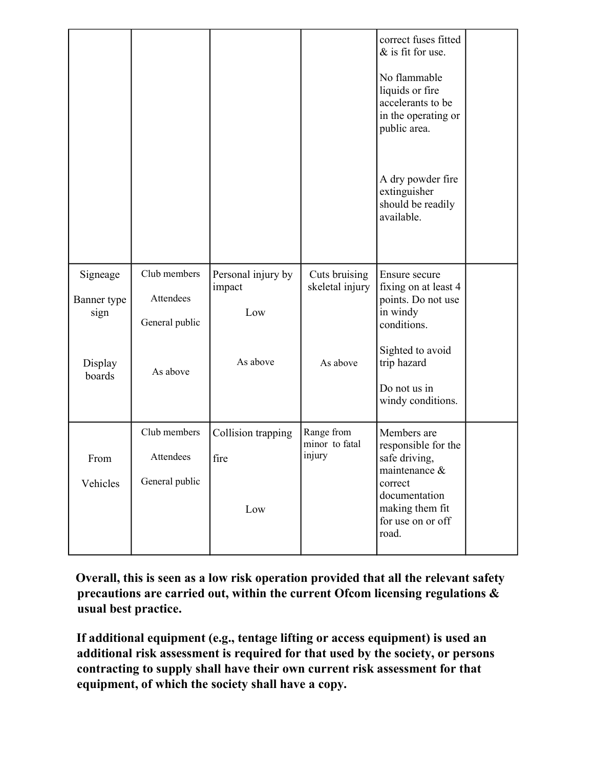|                                 |                                             |                                     |                                        | correct fuses fitted<br>$&$ is fit for use.<br>No flammable<br>liquids or fire<br>accelerants to be<br>in the operating or<br>public area.           |  |
|---------------------------------|---------------------------------------------|-------------------------------------|----------------------------------------|------------------------------------------------------------------------------------------------------------------------------------------------------|--|
|                                 |                                             |                                     |                                        | A dry powder fire<br>extinguisher<br>should be readily<br>available.                                                                                 |  |
| Signeage<br>Banner type<br>sign | Club members<br>Attendees<br>General public | Personal injury by<br>impact<br>Low | Cuts bruising<br>skeletal injury       | Ensure secure<br>fixing on at least 4<br>points. Do not use<br>in windy<br>conditions.                                                               |  |
| Display<br>boards               | As above                                    | As above                            | As above                               | Sighted to avoid<br>trip hazard<br>Do not us in<br>windy conditions.                                                                                 |  |
| From<br>Vehicles                | Club members<br>Attendees<br>General public | Collision trapping<br>fire<br>Low   | Range from<br>minor to fatal<br>injury | Members are<br>responsible for the<br>safe driving,<br>maintenance $\&$<br>correct<br>documentation<br>making them fit<br>for use on or off<br>road. |  |

 Overall, this is seen as a low risk operation provided that all the relevant safety precautions are carried out, within the current Ofcom licensing regulations & usual best practice.

If additional equipment (e.g., tentage lifting or access equipment) is used an additional risk assessment is required for that used by the society, or persons contracting to supply shall have their own current risk assessment for that equipment, of which the society shall have a copy.